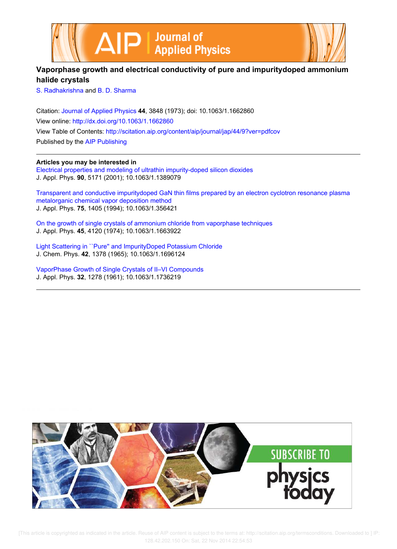



## **Vaporphase growth and electrical conductivity of pure and impuritydoped ammonium halide crystals**

S. Radhakrishna and B. D. Sharma

Citation: Journal of Applied Physics **44**, 3848 (1973); doi: 10.1063/1.1662860 View online: http://dx.doi.org/10.1063/1.1662860 View Table of Contents: http://scitation.aip.org/content/aip/journal/jap/44/9?ver=pdfcov Published by the AIP Publishing

## **Articles you may be interested in**

Electrical properties and modeling of ultrathin impurity-doped silicon dioxides J. Appl. Phys. **90**, 5171 (2001); 10.1063/1.1389079

Transparent and conductive impuritydoped GaN thin films prepared by an electron cyclotron resonance plasma metalorganic chemical vapor deposition method J. Appl. Phys. **75**, 1405 (1994); 10.1063/1.356421

On the growth of single crystals of ammonium chloride from vaporphase techniques J. Appl. Phys. **45**, 4120 (1974); 10.1063/1.1663922

Light Scattering in ``Pure'' and ImpurityDoped Potassium Chloride J. Chem. Phys. **42**, 1378 (1965); 10.1063/1.1696124

VaporPhase Growth of Single Crystals of II–VI Compounds J. Appl. Phys. **32**, 1278 (1961); 10.1063/1.1736219

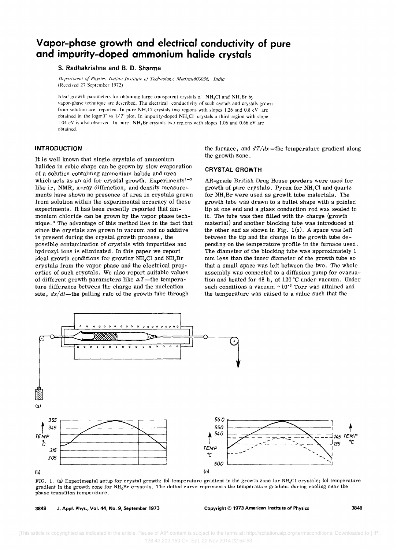# **Vapor-phase growth and electrical conductivity of pure and impurity-doped ammonium halide crystals**

## **S. Radhakrishna and B. D. Sharma**

Department of Physics, Indian Institute of Technology, Madras.600036, India (Received 27 September 1972)

Ideal growth parameters for obtaining large transparent crystals of NH4CI and NH4Br by vapor-phase technique are described. The electrical conductivity of such cystals and crystals grown from solution are reported. In pure  $NH_4Cl$  crystals two regions with slopes 1.26 and 0.8 eV are obtained in the  $\log_{\sigma} T$  vs  $1/T$  plot. In impurity-doped NH<sub>4</sub>Cl crystals a third region with slope 1.04 eV is also observed. In pure NH4Br crystals two regions with slopes 1.06 and 0.66 eV are obtained.

### **INTRODUCTION**

It is well known that single crystals of ammonium halides in cubic shape can be grown by slow evaporation of a solution containing ammonium halide and urea which acts as an aid for crystal growth. Experiments $^{1-3}$ like ir, NMR, x-ray diffraction, and density measurements have shown no presence of urea in crystals grown from solution within the experimental accuracy of these experiments. It has been recently reported that ammonium chloride can be grown by the vapor phase technique. 4 The advantage of this method lies in the fact that since the crystals are grown in vacuum and no additive is present during the crystal growth process, the possible contamination of crystals with impurities and hydroxyl ions is eliminated. In this paper we report ideal growth conditions for growing  $NH<sub>4</sub>Cl$  and  $NH<sub>4</sub>Br$ crystals from the vapor phase and the electrical properties of such crystals. We also report suitable values of different growth parameters like  $\Delta T$ -the temperature difference between the charge and the nucleation site,  $dx/dt$ —the pulling rate of the growth tube through

the furnace, and  $dT/dx$ —the temperature gradient along the growth zone.

#### **CRYSTAL GROWTH**

AR-grade British Drug House powders were used for growth of pure crystals. Pyrex for  $NH<sub>4</sub>Cl$  and quartz for  $NH<sub>4</sub>Br$  were used as growth tube materials. The growth tube was drawn to a bullet shape with a pointed tip at one end and a glass conduction rod was sealed to it. The tube was then filled with the charge (growth material) and another blocking tube was introduced at the other end as shown in Fig.  $1(a)$ . A space was left between the tip and the charge in the growth tube depending on the temperature profile in the furnace used. The diameter of the blocking tube was approximately 1 mm less than the inner diameter of the growth tube so that a small space was left between the two. The whole assembly was connected to a diffusion pump for evacuation and heated for 48 h, at 120°C under vacuum. Under such conditions a vacuum  $\sim 10^{-3}$  Torr was attained and the temperature was raised to a value such that the



FIG. 1. (a) Experimental setup for crystal growth; (b) temperature gradient in the growth zone for NH<sub>4</sub>Cl crystals; (c) temperature gradient in the growth zone for NH4Br crystals. The dotted curve represents the temperature gradient during cooling near the phase transition temperature.

<sup>3848</sup> J. Appl. Phys., Vol. 44, No.9, September 1973 Copyright © 1973 American Institute of Physics 3848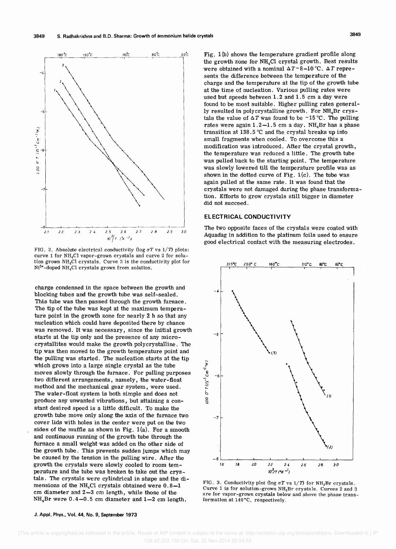

FIG. 2. Absolute electrical conductivity (log  $\sigma T$  vs  $1/T$ ) plots: curve 1 for  $NH_4Cl$  vapor-grown crystals and curve 2 for solution grown NH4CI crystals. Curve 3 is the conductivity plot for  $Ni<sup>2+</sup>$ -doped NH<sub>4</sub>Cl crystals grown from solution.

charge condensed in the space between the growth and blocking tubes and the growth tube was self-sealed. This tube was then passed through the growth furnace. The tip of the tube was kept at the maximum temperature point in the growth zone for nearly 2 h so that any nucleation which could have deposited there by chance was removed. It was necessary, since the initial growth starts at the tip only and the presence of any microcrystallites would make the growth polycrystalline. The tip was then moved to the growth temperature point and the pulling was started. The nucleation starts at the tip which grows into a large single crystal as the tube moves slowly through the furnace. For pulling purposes two different arrangements, namely, the water-float method and the mechanical gear system, were used. The water-float system is both simple and does not produce any unwanted vibrations, but attaining a constant desired speed is a little difficult. To make the growth tube move only along the axis of the furnace two cover lids with holes in the center were put on the two sides of the muffle as shown in Fig.  $1(a)$ . For a smooth and continuous running of the growth tube through the furnace a small weight was added on the other side of the growth tube. This prevents sudden jumps which may be caused by the tension in the pulling wire. After the growth the crystals were slowly cooled to room temperature and the tube was broken to take out the crystals. The crystals were cylindrical in shape and the dimensions of the NH<sub>4</sub>Cl crystals obtained were  $0.8-1$ cm diameter and 2-3 cm length, while those of the  $NH<sub>4</sub>Br$  were  $0.4-0.5$  cm diameter and  $1-2$  cm length.

Fig. 1 (b) shows the temperature gradient profile along the growth zone for  $NH<sub>4</sub>Cl$  crystal growth. Best results were obtained with a nominal  $\Delta T \sim 8-10$  °C.  $\Delta T$  represents the difference between the temperature of the charge and the temperature at the tip of the growth tube at the time of nucleation. Various pulling rates were used but speeds between 1.2 and 1.5 cm a day were found to be most suitable. Higher pulling rates generally resulted in polycrystalline growth. For NH4Br crystals the value of  $\Delta T$  was found to be ~15 °C. The pulling rates were again  $1.2-1.5$  cm a day. NH<sub>4</sub>Br has a phase transition at 138.5 °C and the crystal breaks up into small fragments when cooled. To overcome this a modification was introduced. After the crystal growth, the temperature was reduced a little. The growth tube was pulled back to the starting point. The temperature was slowly lowered till the temperature profile was as shown in the dotted curve of Fig.  $1(c)$ . The tube was again pulled at the same rate. It was found that the crystals were not damaged during the phase transformation. Efforts to grow crystals still bigger in diameter did not succeed.

#### **ELECTRICAL CONDUCTIVITY**

The two opposite faces of the crystals were coated with Aquadag in addition to the platinum foils used to ensure good electrical contact with the measuring electrodes.



FIG. 3. Conductivity plot (log  $\sigma T$  vs  $1/T$ ) for NH<sub>4</sub>Br crystals. Curve 1 is for solution-grown  $NH<sub>4</sub>Br$  crystals. Curves 2 and 3 are for vapor-grown crystals below and above the phase transformation at l40°C, respectively.